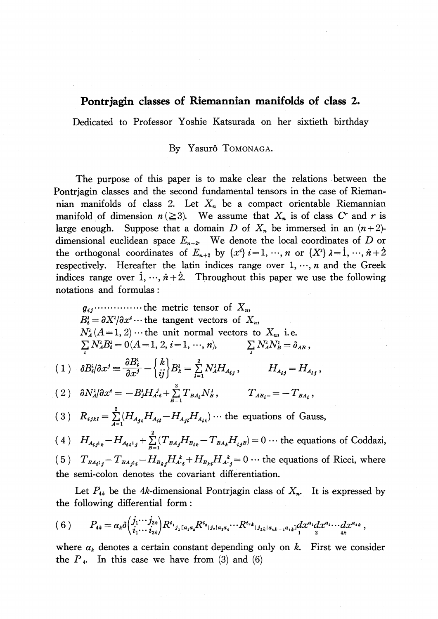## Pontrjagin classes of Riemannian manifolds of class 2.

Dedicated to Professor Yoshie Katsurada on her sixtieth birthday

## By Yasurô TOMONAGA.

The purpose of this paper is to make clear the relations between the Pontrjagin classes and the second fundamental tensors in the case of Riemannian manifolds of class 2. Let  $X_{n}$  be a compact orientable Riemannian manifold of dimension  $n(\geq 3)$ . We assume that  $X_{n}$  is of class C<sup>*r*</sup> and r is large enough. Suppose that a domain D of  $X_{n}$  be immersed in an  $(n+2)$ dimensional euclidean space  $E_{n+2}$ . We denote the local coordinates of D or the orthogonal coordinates of  $E_{n+2}$  by  $\{x^{i}\}\ i=1 , \dots, n$  or  $\{X^{i}\}\ \lambda=1 , \dots, n+\lambda$ respectively. Hereafter the latin indices range over  $1, \dots, n$  and the Greek indices range over  $1, \dots, \dot{n}+\dot{2}$ . Throughout this paper we use the following notations and formulas :

$$
g_{ij}
$$
........... the metric tensor of  $X_n$ ,  
\n $B_i^2 = \partial X^2/\partial x^i$ ... the tangent vectors of  $X_n$ ,  
\n $N_A^2 (A = 1, 2)$ ... the unit normal vectors to  $X_n$ , i.e.  
\n $\sum_i N_A^2 B_i^2 = 0 (A = 1, 2, i = 1, ..., n),$   $\sum_i N_A^2 N_B^2 = \delta_{AB}$ ,  
\n(1)  $\delta B_i^2/\partial x^j \equiv \frac{\partial B_i^2}{\partial x^j} - \begin{cases} k \\ ij \end{cases} B_k^2 = \sum_{\lambda=1}^2 N_A^2 H_{A_{ij}}$ ,  $H_{A_{ij}} = H_{A_{ij}}$ ,  
\n(2)  $\partial N_A^2/\partial x^i = -B_j^2 H_{A_{ij}}^2 + \sum_{B=1}^2 T_{BA_{ij}} N_B^2$ ,  $T_{AB_i} = -T_{BA_i}$ ,  
\n(3)  $R_{ijkl} = \sum_{A=1}^2 (H_{A_{jA}} H_{A_{il}} - H_{A_{jB}} H_{A_{ik}})$ ... the equations of Gauss,  
\n(4)  $H_{A_{ij}j_k} - H_{A_{ik}j_j} + \sum_{B=1}^2 (T_{BA_j} H_{B_{ik}} - T_{BA_k} H_{i_jB}) = 0$ ... the equations of Coddazi,

(5)  $T_{BA_{ij}}-T_{BA_{ji}}-H_{B_{kj}}H_{A_{ij}}^{k}+H_{B_{ki}}H_{A_{ij}}^{k}=0\cdots$  the equations of Ricci, where the semi-colon denotes the covariant differentiation.

Let  $P_{4k}$  be the 4k-dimensional Pontrjagin class of  $X_{n}$ . It is expressed by the following differential form:

$$
(6) \qquad P_{4k} = \alpha_k \delta \left( \frac{j_1 \cdots j_{2k}}{i_1 \cdots i_{2k}} \right) R^{i_1} j_1 \left[ a_1 a_2 R^{i_2} \right] j_2 \left[ a_3 a_4 \cdots R^{i_{2k}} \right] j_{2k} \left[ a_{4k-1} a_{4k} \right] \left( \frac{d x^{a_1} d x^{a_2} \cdots d x^{a_{4k}}}{2} \right),
$$

where  $\alpha_{k}$  denotes a certain constant depending only on k. First we consider the  $P_{4}$ . In this case we have from (3) and (6)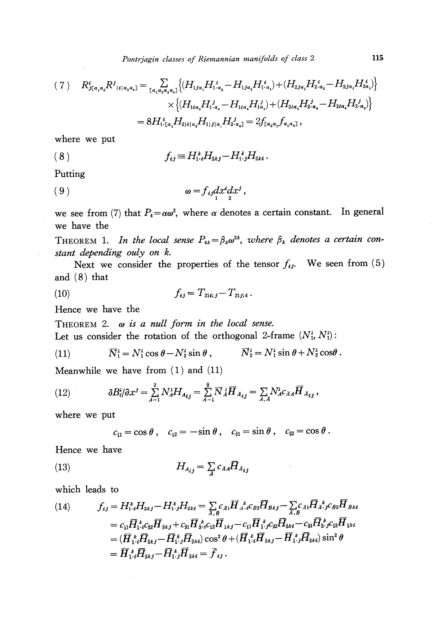$$
(7) \quad R_{j[a_1a_2}^i R_{j[a_1a_3a_4]}^j = \sum_{[a_1a_2a_3a_4]} \left\{ (H_{1ja_1} H_{1\cdot a_2}^i - H_{1ja_2} H_{1\cdot a_1}^i) + (H_{2ja_1} H_{2\cdot a_2}^i - H_{2ja_2} H_{2a_1}^i) \right\}
$$

$$
\times \left\{ (H_{1ia_3} H_{1\cdot a_4}^j - H_{1ia_4} H_{1a_3}^j) + (H_{2ia_3} H_{2\cdot a_4}^j - H_{2ia_4} H_{2\cdot a_3}^j) \right\}
$$

$$
= 8 H_{1\cdot [a_2}^i H_{2|i|a_3} H_{1|j|a_1} H_{2\cdot a_4}^j = 2 f_{[a_2a_3} f_{a_1a_4]},
$$

where we put

$$
(8) \t f_{ij} \equiv H_{1'i}^k H_{2kj} - H_{1:j}^k H_{2ki}.
$$

Putting

(9) \omega=f\_{if}dx^{i}dx^{f}12''

we see from (7) that  $P_{4}=\alpha\omega^{2}$ , where  $\alpha$  denotes a certain constant. In general we have the

<span id="page-1-0"></span>THEOREM 1. In the local sense  $P_{4k} = \beta_{k}\omega^{2k}$ , where  $\beta_{k}$  denotes a certain constant depending ouly on k.

Next we consider the properties of the tensor  $f_{ij}$ . We seen from (5) and (8) that

(10) 
$$
f_{ij} = T_{21i; j} - T_{21j; i}.
$$

Hence we have the

THEOREM 2.  $\omega$  is a null form in the local sense. Let us consider the rotation of the orthogonal 2-frame  $(N_{1}^{\lambda}, N_{1}^{\lambda})$ :

(11) 
$$
\overline{N}_1^{\lambda} = N_1^{\lambda} \cos \theta - N_2^{\lambda} \sin \theta, \qquad \overline{N}_2^{\lambda} = N_1^{\lambda} \sin \theta + N_2^{\lambda} \cos \theta.
$$

Meanwhile we have from (1) and (11)

(12) 
$$
\delta B_i^{\iota}/\partial x^{\jmath} = \sum_{A=1}^2 N_A^{\iota} H_{A_{ij}} = \sum_{A=1}^{\bar{2}} \overline{N}_{\dot{A}}^{\iota} \overline{H}_{A_{ij}} = \sum_{A,A} N_A^{\iota} c_{A A} \overline{H}_{A_{ij}},
$$

where we put

 $c_{11}=\cos\theta \ , \quad c_{12}=-\sin\theta \ , \quad c_{\vphantom{2}21}=\sin\theta \ , \quad c_{\vphantom{2}22}=\cos\theta \ .$ 

Hence we have

$$
(13)
$$

$$
(13) \t\t\t H_{A_{ij}} = \sum_{\vec{A}} c_{\vec{A}} \vec{H}_{\vec{A}_{ij}}
$$

which leads to

(14) 
$$
f_{ij} = H_{1}^{k} H_{2kj} - H_{1}^{k} H_{2ki} = \sum_{\vec{A}, \vec{B}} c_{\vec{A}1} \overline{H}_{\vec{A} \cdot i}^{k} c_{\vec{B}2} \overline{H}_{\vec{B}kj} - \sum_{\vec{A}, \vec{B}} c_{\vec{A}1} \overline{H}_{\vec{A} \cdot i}^{k} c_{\vec{B}2} \overline{H}_{\vec{B}ki}
$$

$$
= c_{11} \overline{H}_{1}^{k} c_{22} \overline{H}_{2kj} + c_{21} \overline{H}_{2}^{k} c_{12} \overline{H}_{1kj} - c_{11} \overline{H}_{1}^{k} c_{22} \overline{H}_{2ki} - c_{21} \overline{H}_{2}^{k} c_{12} \overline{H}_{1ki}
$$

$$
= (\overline{H}_{1}^{k} \overline{H}_{2kj} - \overline{H}_{1}^{k} \overline{H}_{2ki}) \cos^{2} \theta + (\overline{H}_{1}^{k} \overline{H}_{2kj} - \overline{H}_{1}^{k} \overline{H}_{2ki}) \sin^{2} \theta
$$

$$
= \overline{H}_{1}^{k} \overline{H}_{2kj} - \overline{H}_{1}^{k} \overline{H}_{2ki} = \overline{f}_{ij}.
$$